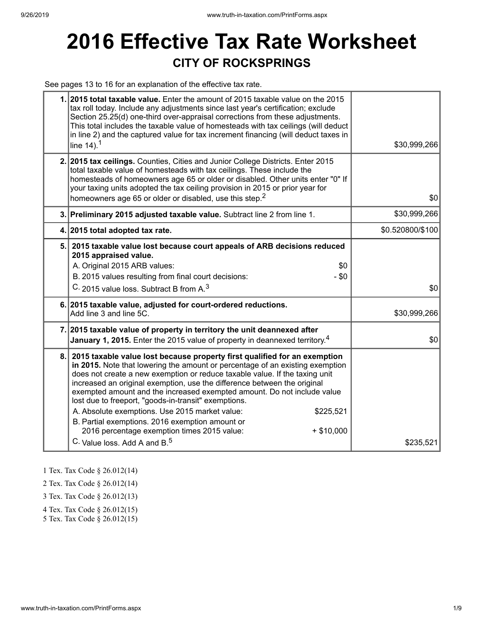# **2016 Effective Tax Rate Worksheet CITY OF ROCKSPRINGS**

See pages 13 to 16 for an explanation of the effective tax rate.

|    | 1. 2015 total taxable value. Enter the amount of 2015 taxable value on the 2015<br>tax roll today. Include any adjustments since last year's certification; exclude<br>Section 25.25(d) one-third over-appraisal corrections from these adjustments.<br>This total includes the taxable value of homesteads with tax ceilings (will deduct<br>in line 2) and the captured value for tax increment financing (will deduct taxes in<br>line $14$ ). <sup>1</sup>                                                                                                                                                                                                                        | \$30,999,266     |
|----|---------------------------------------------------------------------------------------------------------------------------------------------------------------------------------------------------------------------------------------------------------------------------------------------------------------------------------------------------------------------------------------------------------------------------------------------------------------------------------------------------------------------------------------------------------------------------------------------------------------------------------------------------------------------------------------|------------------|
|    | 2. 2015 tax ceilings. Counties, Cities and Junior College Districts. Enter 2015<br>total taxable value of homesteads with tax ceilings. These include the<br>homesteads of homeowners age 65 or older or disabled. Other units enter "0" If<br>your taxing units adopted the tax ceiling provision in 2015 or prior year for<br>homeowners age 65 or older or disabled, use this step. <sup>2</sup>                                                                                                                                                                                                                                                                                   | \$0              |
|    | 3. Preliminary 2015 adjusted taxable value. Subtract line 2 from line 1.                                                                                                                                                                                                                                                                                                                                                                                                                                                                                                                                                                                                              | \$30,999,266     |
|    | 4. 2015 total adopted tax rate.                                                                                                                                                                                                                                                                                                                                                                                                                                                                                                                                                                                                                                                       | \$0.520800/\$100 |
|    | 5. 2015 taxable value lost because court appeals of ARB decisions reduced<br>2015 appraised value.<br>A. Original 2015 ARB values:<br>\$0<br>B. 2015 values resulting from final court decisions:<br>$-$ \$0<br>C. 2015 value loss. Subtract B from A. <sup>3</sup>                                                                                                                                                                                                                                                                                                                                                                                                                   | \$0              |
|    | 6. 2015 taxable value, adjusted for court-ordered reductions.<br>Add line 3 and line 5C.                                                                                                                                                                                                                                                                                                                                                                                                                                                                                                                                                                                              | \$30,999,266     |
|    | 7. 2015 taxable value of property in territory the unit deannexed after<br>January 1, 2015. Enter the 2015 value of property in deannexed territory. <sup>4</sup>                                                                                                                                                                                                                                                                                                                                                                                                                                                                                                                     | \$0              |
| 8. | 2015 taxable value lost because property first qualified for an exemption<br>in 2015. Note that lowering the amount or percentage of an existing exemption<br>does not create a new exemption or reduce taxable value. If the taxing unit<br>increased an original exemption, use the difference between the original<br>exempted amount and the increased exempted amount. Do not include value<br>lost due to freeport, "goods-in-transit" exemptions.<br>A. Absolute exemptions. Use 2015 market value:<br>\$225,521<br>B. Partial exemptions. 2016 exemption amount or<br>2016 percentage exemption times 2015 value:<br>$+$ \$10,000<br>C. Value loss, Add A and B. <sup>5</sup> | \$235,521        |

1 Tex. Tax Code § 26.012(14)

2 Tex. Tax Code § 26.012(14)

3 Tex. Tax Code § 26.012(13)

4 Tex. Tax Code § 26.012(15)

5 Tex. Tax Code § 26.012(15)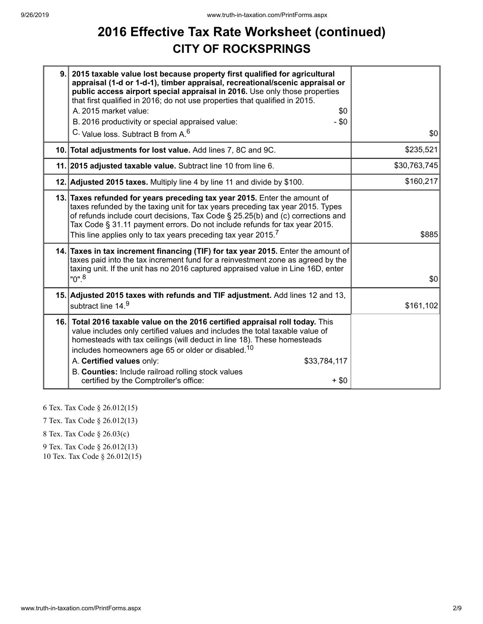## **2016 Effective Tax Rate Worksheet (continued) CITY OF ROCKSPRINGS**

| 9.1 | 2015 taxable value lost because property first qualified for agricultural<br>appraisal (1-d or 1-d-1), timber appraisal, recreational/scenic appraisal or<br>public access airport special appraisal in 2016. Use only those properties<br>that first qualified in 2016; do not use properties that qualified in 2015.<br>A. 2015 market value:<br>\$0<br>$-$ \$0<br>B. 2016 productivity or special appraised value:<br>C. Value loss. Subtract B from A. <sup>6</sup> | \$0          |
|-----|-------------------------------------------------------------------------------------------------------------------------------------------------------------------------------------------------------------------------------------------------------------------------------------------------------------------------------------------------------------------------------------------------------------------------------------------------------------------------|--------------|
|     | 10. Total adjustments for lost value. Add lines 7, 8C and 9C.                                                                                                                                                                                                                                                                                                                                                                                                           | \$235,521    |
|     | 11. 2015 adjusted taxable value. Subtract line 10 from line 6.                                                                                                                                                                                                                                                                                                                                                                                                          | \$30,763,745 |
|     | 12. Adjusted 2015 taxes. Multiply line 4 by line 11 and divide by \$100.                                                                                                                                                                                                                                                                                                                                                                                                | \$160,217    |
|     | 13. Taxes refunded for years preceding tax year 2015. Enter the amount of<br>taxes refunded by the taxing unit for tax years preceding tax year 2015. Types<br>of refunds include court decisions, Tax Code § 25.25(b) and (c) corrections and<br>Tax Code § 31.11 payment errors. Do not include refunds for tax year 2015.<br>This line applies only to tax years preceding tax year 2015. $^7$                                                                       | \$885        |
|     | 14. Taxes in tax increment financing (TIF) for tax year 2015. Enter the amount of<br>taxes paid into the tax increment fund for a reinvestment zone as agreed by the<br>taxing unit. If the unit has no 2016 captured appraised value in Line 16D, enter<br>$"0"$ . <sup>8</sup>                                                                                                                                                                                        | \$0          |
|     | 15. Adjusted 2015 taxes with refunds and TIF adjustment. Add lines 12 and 13,<br>subtract line 14.9                                                                                                                                                                                                                                                                                                                                                                     | \$161,102    |
|     | 16. Total 2016 taxable value on the 2016 certified appraisal roll today. This<br>value includes only certified values and includes the total taxable value of<br>homesteads with tax ceilings (will deduct in line 18). These homesteads<br>includes homeowners age 65 or older or disabled. <sup>10</sup><br>A. Certified values only:<br>\$33,784,117<br>B. Counties: Include railroad rolling stock values<br>certified by the Comptroller's office:<br>$+$ \$0      |              |

6 Tex. Tax Code § 26.012(15)

7 Tex. Tax Code § 26.012(13)

8 Tex. Tax Code § 26.03(c)

9 Tex. Tax Code § 26.012(13)

10 Tex. Tax Code § 26.012(15)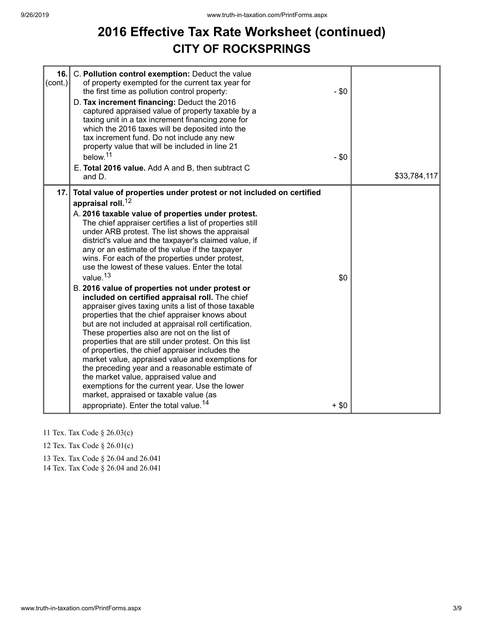## **2016 Effective Tax Rate Worksheet (continued) CITY OF ROCKSPRINGS**

| 16.<br>$\text{(cont.)}$ | C. Pollution control exemption: Deduct the value<br>of property exempted for the current tax year for<br>the first time as pollution control property:<br>D. Tax increment financing: Deduct the 2016<br>captured appraised value of property taxable by a<br>taxing unit in a tax increment financing zone for<br>which the 2016 taxes will be deposited into the<br>tax increment fund. Do not include any new<br>property value that will be included in line 21<br>below. <sup>11</sup><br>E. Total 2016 value. Add A and B, then subtract C<br>and D.                                                                                                                                                                                                                                                                                                                                                                                                                                                                                                                                                                                                                                                                                                    | $-$ \$0<br>$-$ \$0 | \$33,784,117 |
|-------------------------|---------------------------------------------------------------------------------------------------------------------------------------------------------------------------------------------------------------------------------------------------------------------------------------------------------------------------------------------------------------------------------------------------------------------------------------------------------------------------------------------------------------------------------------------------------------------------------------------------------------------------------------------------------------------------------------------------------------------------------------------------------------------------------------------------------------------------------------------------------------------------------------------------------------------------------------------------------------------------------------------------------------------------------------------------------------------------------------------------------------------------------------------------------------------------------------------------------------------------------------------------------------|--------------------|--------------|
| 17.                     | Total value of properties under protest or not included on certified<br>appraisal roll. <sup>12</sup><br>A. 2016 taxable value of properties under protest.<br>The chief appraiser certifies a list of properties still<br>under ARB protest. The list shows the appraisal<br>district's value and the taxpayer's claimed value, if<br>any or an estimate of the value if the taxpayer<br>wins. For each of the properties under protest,<br>use the lowest of these values. Enter the total<br>value. <sup>13</sup><br>B. 2016 value of properties not under protest or<br>included on certified appraisal roll. The chief<br>appraiser gives taxing units a list of those taxable<br>properties that the chief appraiser knows about<br>but are not included at appraisal roll certification.<br>These properties also are not on the list of<br>properties that are still under protest. On this list<br>of properties, the chief appraiser includes the<br>market value, appraised value and exemptions for<br>the preceding year and a reasonable estimate of<br>the market value, appraised value and<br>exemptions for the current year. Use the lower<br>market, appraised or taxable value (as<br>appropriate). Enter the total value. <sup>14</sup> | \$0<br>$+ $0$      |              |

- 11 Tex. Tax Code § 26.03(c)
- 12 Tex. Tax Code § 26.01(c)
- 13 Tex. Tax Code § 26.04 and 26.041

14 Tex. Tax Code § 26.04 and 26.041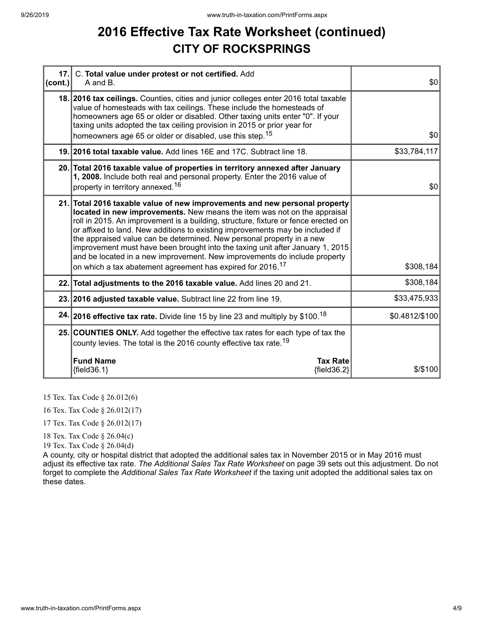## **2016 Effective Tax Rate Worksheet (continued) CITY OF ROCKSPRINGS**

| 17.<br>$ cont. \rangle$ | C. Total value under protest or not certified. Add<br>A and B.                                                                                                                                                                                                                                                                                                                                                                                                                                                                                                                                                                                 | \$0            |
|-------------------------|------------------------------------------------------------------------------------------------------------------------------------------------------------------------------------------------------------------------------------------------------------------------------------------------------------------------------------------------------------------------------------------------------------------------------------------------------------------------------------------------------------------------------------------------------------------------------------------------------------------------------------------------|----------------|
|                         | 18. 2016 tax ceilings. Counties, cities and junior colleges enter 2016 total taxable<br>value of homesteads with tax ceilings. These include the homesteads of<br>homeowners age 65 or older or disabled. Other taxing units enter "0". If your<br>taxing units adopted the tax ceiling provision in 2015 or prior year for<br>homeowners age 65 or older or disabled, use this step. <sup>15</sup>                                                                                                                                                                                                                                            | \$0            |
|                         | 19. 2016 total taxable value. Add lines 16E and 17C. Subtract line 18.                                                                                                                                                                                                                                                                                                                                                                                                                                                                                                                                                                         | \$33,784,117   |
|                         | 20. Total 2016 taxable value of properties in territory annexed after January<br>1, 2008. Include both real and personal property. Enter the 2016 value of<br>property in territory annexed. <sup>16</sup>                                                                                                                                                                                                                                                                                                                                                                                                                                     | \$0            |
|                         | 21. Total 2016 taxable value of new improvements and new personal property<br>located in new improvements. New means the item was not on the appraisal<br>roll in 2015. An improvement is a building, structure, fixture or fence erected on<br>or affixed to land. New additions to existing improvements may be included if<br>the appraised value can be determined. New personal property in a new<br>improvement must have been brought into the taxing unit after January 1, 2015<br>and be located in a new improvement. New improvements do include property<br>on which a tax abatement agreement has expired for 2016. <sup>17</sup> | \$308,184      |
|                         | 22. Total adjustments to the 2016 taxable value. Add lines 20 and 21.                                                                                                                                                                                                                                                                                                                                                                                                                                                                                                                                                                          | \$308,184      |
|                         | 23. 2016 adjusted taxable value. Subtract line 22 from line 19.                                                                                                                                                                                                                                                                                                                                                                                                                                                                                                                                                                                | \$33,475,933   |
|                         | 24. 2016 effective tax rate. Divide line 15 by line 23 and multiply by \$100. <sup>18</sup>                                                                                                                                                                                                                                                                                                                                                                                                                                                                                                                                                    | \$0.4812/\$100 |
|                         | 25. COUNTIES ONLY. Add together the effective tax rates for each type of tax the<br>county levies. The total is the 2016 county effective tax rate. <sup>19</sup>                                                                                                                                                                                                                                                                                                                                                                                                                                                                              |                |
|                         | <b>Fund Name</b><br><b>Tax Rate</b><br>${fields.1}$<br>${field36.2}$                                                                                                                                                                                                                                                                                                                                                                                                                                                                                                                                                                           | \$/\$100       |

15 Tex. Tax Code § 26.012(6)

16 Tex. Tax Code § 26.012(17)

17 Tex. Tax Code § 26.012(17)

18 Tex. Tax Code § 26.04(c)

19 Tex. Tax Code § 26.04(d)

A county, city or hospital district that adopted the additional sales tax in November 2015 or in May 2016 must adjust its effective tax rate. *The Additional Sales Tax Rate Worksheet* on page 39 sets out this adjustment. Do not forget to complete the *Additional Sales Tax Rate Worksheet* if the taxing unit adopted the additional sales tax on these dates.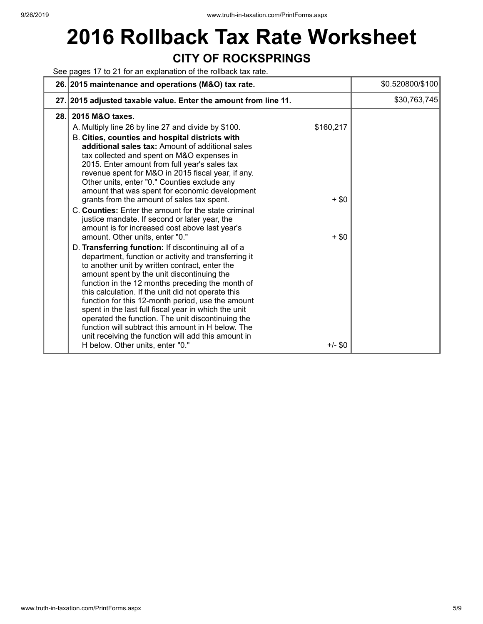## **2016 Rollback Tax Rate Worksheet CITY OF ROCKSPRINGS**

### See pages 17 to 21 for an explanation of the rollback tax rate.

|     | 26. 2015 maintenance and operations (M&O) tax rate.                                                                                                                                                                                                                                                                                                                                                                                                                                                                                                                                                                                                                                                                                                                                                                                                                                                                                                                                                                                                                                                                                                                                                                                                                                                                         | \$0.520800/\$100 |
|-----|-----------------------------------------------------------------------------------------------------------------------------------------------------------------------------------------------------------------------------------------------------------------------------------------------------------------------------------------------------------------------------------------------------------------------------------------------------------------------------------------------------------------------------------------------------------------------------------------------------------------------------------------------------------------------------------------------------------------------------------------------------------------------------------------------------------------------------------------------------------------------------------------------------------------------------------------------------------------------------------------------------------------------------------------------------------------------------------------------------------------------------------------------------------------------------------------------------------------------------------------------------------------------------------------------------------------------------|------------------|
|     | 27. 2015 adjusted taxable value. Enter the amount from line 11.                                                                                                                                                                                                                                                                                                                                                                                                                                                                                                                                                                                                                                                                                                                                                                                                                                                                                                                                                                                                                                                                                                                                                                                                                                                             | \$30,763,745     |
| 28. | 2015 M&O taxes.<br>\$160,217<br>A. Multiply line 26 by line 27 and divide by \$100.<br>B. Cities, counties and hospital districts with<br>additional sales tax: Amount of additional sales<br>tax collected and spent on M&O expenses in<br>2015. Enter amount from full year's sales tax<br>revenue spent for M&O in 2015 fiscal year, if any.<br>Other units, enter "0." Counties exclude any<br>amount that was spent for economic development<br>grants from the amount of sales tax spent.<br>$+$ \$0<br>C. Counties: Enter the amount for the state criminal<br>justice mandate. If second or later year, the<br>amount is for increased cost above last year's<br>amount. Other units, enter "0."<br>$+$ \$0<br>D. Transferring function: If discontinuing all of a<br>department, function or activity and transferring it<br>to another unit by written contract, enter the<br>amount spent by the unit discontinuing the<br>function in the 12 months preceding the month of<br>this calculation. If the unit did not operate this<br>function for this 12-month period, use the amount<br>spent in the last full fiscal year in which the unit<br>operated the function. The unit discontinuing the<br>function will subtract this amount in H below. The<br>unit receiving the function will add this amount in |                  |
|     | H below. Other units, enter "0."<br>$+/-$ \$0                                                                                                                                                                                                                                                                                                                                                                                                                                                                                                                                                                                                                                                                                                                                                                                                                                                                                                                                                                                                                                                                                                                                                                                                                                                                               |                  |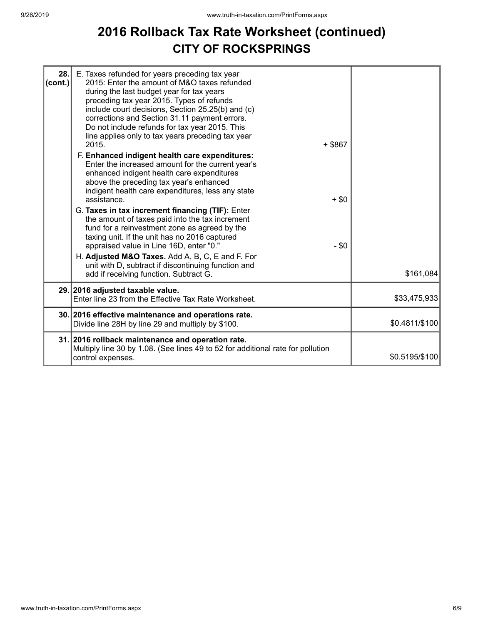## **2016 Rollback Tax Rate Worksheet (continued) CITY OF ROCKSPRINGS**

| 28.<br>$ cont.$ ) | E. Taxes refunded for years preceding tax year<br>2015: Enter the amount of M&O taxes refunded<br>during the last budget year for tax years<br>preceding tax year 2015. Types of refunds<br>include court decisions, Section 25.25(b) and (c)<br>corrections and Section 31.11 payment errors.<br>Do not include refunds for tax year 2015. This<br>line applies only to tax years preceding tax year<br>2015.<br>F. Enhanced indigent health care expenditures:<br>Enter the increased amount for the current year's<br>enhanced indigent health care expenditures<br>above the preceding tax year's enhanced<br>indigent health care expenditures, less any state<br>assistance.<br>G. Taxes in tax increment financing (TIF): Enter<br>the amount of taxes paid into the tax increment<br>fund for a reinvestment zone as agreed by the<br>taxing unit. If the unit has no 2016 captured<br>appraised value in Line 16D, enter "0."<br>H. Adjusted M&O Taxes. Add A, B, C, E and F. For<br>unit with D, subtract if discontinuing function and | $+$ \$867<br>$+$ \$0<br>$-$ \$0 |                |
|-------------------|---------------------------------------------------------------------------------------------------------------------------------------------------------------------------------------------------------------------------------------------------------------------------------------------------------------------------------------------------------------------------------------------------------------------------------------------------------------------------------------------------------------------------------------------------------------------------------------------------------------------------------------------------------------------------------------------------------------------------------------------------------------------------------------------------------------------------------------------------------------------------------------------------------------------------------------------------------------------------------------------------------------------------------------------------|---------------------------------|----------------|
|                   | add if receiving function. Subtract G.                                                                                                                                                                                                                                                                                                                                                                                                                                                                                                                                                                                                                                                                                                                                                                                                                                                                                                                                                                                                            |                                 | \$161,084      |
|                   | 29. 2016 adjusted taxable value.<br>Enter line 23 from the Effective Tax Rate Worksheet.                                                                                                                                                                                                                                                                                                                                                                                                                                                                                                                                                                                                                                                                                                                                                                                                                                                                                                                                                          |                                 | \$33,475,933   |
|                   | 30. 2016 effective maintenance and operations rate.<br>Divide line 28H by line 29 and multiply by \$100.                                                                                                                                                                                                                                                                                                                                                                                                                                                                                                                                                                                                                                                                                                                                                                                                                                                                                                                                          |                                 | \$0.4811/\$100 |
|                   | 31. 2016 rollback maintenance and operation rate.<br>Multiply line 30 by 1.08. (See lines 49 to 52 for additional rate for pollution<br>control expenses.                                                                                                                                                                                                                                                                                                                                                                                                                                                                                                                                                                                                                                                                                                                                                                                                                                                                                         |                                 | \$0.5195/\$100 |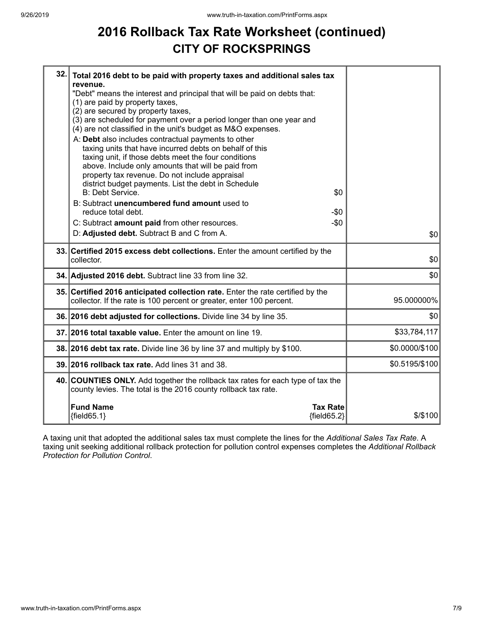## **2016 Rollback Tax Rate Worksheet (continued) CITY OF ROCKSPRINGS**

| 32. Total 2016 debt to be paid with property taxes and additional sales tax<br>revenue.<br>"Debt" means the interest and principal that will be paid on debts that:<br>(1) are paid by property taxes,<br>(2) are secured by property taxes,<br>(3) are scheduled for payment over a period longer than one year and<br>(4) are not classified in the unit's budget as M&O expenses.<br>A: Debt also includes contractual payments to other<br>taxing units that have incurred debts on behalf of this<br>taxing unit, if those debts meet the four conditions<br>above. Include only amounts that will be paid from<br>property tax revenue. Do not include appraisal<br>district budget payments. List the debt in Schedule<br><b>B: Debt Service.</b><br>\$0<br>B: Subtract unencumbered fund amount used to<br>reduce total debt.<br>-\$0<br>C: Subtract amount paid from other resources.<br>$-\$0$<br>D: Adjusted debt. Subtract B and C from A. | \$0            |
|--------------------------------------------------------------------------------------------------------------------------------------------------------------------------------------------------------------------------------------------------------------------------------------------------------------------------------------------------------------------------------------------------------------------------------------------------------------------------------------------------------------------------------------------------------------------------------------------------------------------------------------------------------------------------------------------------------------------------------------------------------------------------------------------------------------------------------------------------------------------------------------------------------------------------------------------------------|----------------|
| 33. Certified 2015 excess debt collections. Enter the amount certified by the<br>collector.                                                                                                                                                                                                                                                                                                                                                                                                                                                                                                                                                                                                                                                                                                                                                                                                                                                            | \$0            |
| 34. Adjusted 2016 debt. Subtract line 33 from line 32.                                                                                                                                                                                                                                                                                                                                                                                                                                                                                                                                                                                                                                                                                                                                                                                                                                                                                                 | \$0            |
| 35. Certified 2016 anticipated collection rate. Enter the rate certified by the<br>collector. If the rate is 100 percent or greater, enter 100 percent.                                                                                                                                                                                                                                                                                                                                                                                                                                                                                                                                                                                                                                                                                                                                                                                                | 95.000000%     |
| 36. 2016 debt adjusted for collections. Divide line 34 by line 35.                                                                                                                                                                                                                                                                                                                                                                                                                                                                                                                                                                                                                                                                                                                                                                                                                                                                                     | \$0            |
| 37. 2016 total taxable value. Enter the amount on line 19.                                                                                                                                                                                                                                                                                                                                                                                                                                                                                                                                                                                                                                                                                                                                                                                                                                                                                             | \$33,784,117   |
| 38. 2016 debt tax rate. Divide line 36 by line 37 and multiply by \$100.                                                                                                                                                                                                                                                                                                                                                                                                                                                                                                                                                                                                                                                                                                                                                                                                                                                                               | \$0.0000/\$100 |
| 39. 2016 rollback tax rate. Add lines 31 and 38.                                                                                                                                                                                                                                                                                                                                                                                                                                                                                                                                                                                                                                                                                                                                                                                                                                                                                                       | \$0.5195/\$100 |
| 40. COUNTIES ONLY. Add together the rollback tax rates for each type of tax the<br>county levies. The total is the 2016 county rollback tax rate.                                                                                                                                                                                                                                                                                                                                                                                                                                                                                                                                                                                                                                                                                                                                                                                                      |                |
| <b>Fund Name</b><br><b>Tax Rate</b><br>${fields2}$<br>${field65.1}$                                                                                                                                                                                                                                                                                                                                                                                                                                                                                                                                                                                                                                                                                                                                                                                                                                                                                    | \$/\$100       |

A taxing unit that adopted the additional sales tax must complete the lines for the *Additional Sales Tax Rate*. A taxing unit seeking additional rollback protection for pollution control expenses completes the *Additional Rollback Protection for Pollution Control*.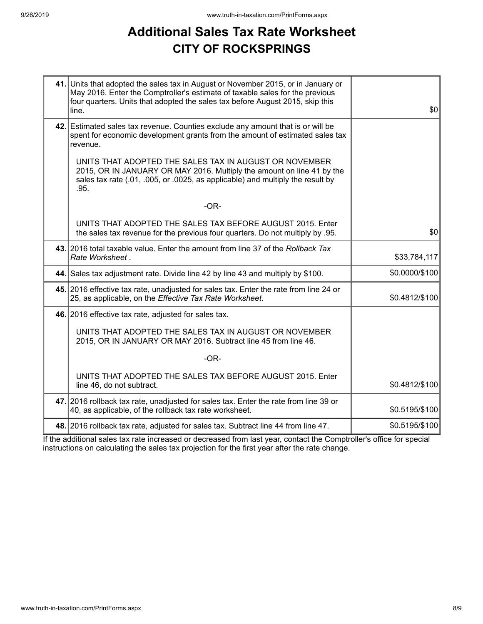## **Additional Sales Tax Rate Worksheet CITY OF ROCKSPRINGS**

| 41. Units that adopted the sales tax in August or November 2015, or in January or<br>May 2016. Enter the Comptroller's estimate of taxable sales for the previous<br>four quarters. Units that adopted the sales tax before August 2015, skip this<br>line. | \$0            |
|-------------------------------------------------------------------------------------------------------------------------------------------------------------------------------------------------------------------------------------------------------------|----------------|
| 42. Estimated sales tax revenue. Counties exclude any amount that is or will be<br>spent for economic development grants from the amount of estimated sales tax<br>revenue.                                                                                 |                |
| UNITS THAT ADOPTED THE SALES TAX IN AUGUST OR NOVEMBER<br>2015, OR IN JANUARY OR MAY 2016. Multiply the amount on line 41 by the<br>sales tax rate (.01, .005, or .0025, as applicable) and multiply the result by<br>.95.                                  |                |
| $-OR-$                                                                                                                                                                                                                                                      |                |
| UNITS THAT ADOPTED THE SALES TAX BEFORE AUGUST 2015. Enter<br>the sales tax revenue for the previous four quarters. Do not multiply by .95.                                                                                                                 | \$0            |
| 43. 2016 total taxable value. Enter the amount from line 37 of the Rollback Tax<br>Rate Worksheet.                                                                                                                                                          | \$33,784,117   |
| 44. Sales tax adjustment rate. Divide line 42 by line 43 and multiply by \$100.                                                                                                                                                                             | \$0.0000/\$100 |
| 45. 2016 effective tax rate, unadjusted for sales tax. Enter the rate from line 24 or<br>25, as applicable, on the Effective Tax Rate Worksheet.                                                                                                            | \$0.4812/\$100 |
| 46. 2016 effective tax rate, adjusted for sales tax.                                                                                                                                                                                                        |                |
| UNITS THAT ADOPTED THE SALES TAX IN AUGUST OR NOVEMBER<br>2015, OR IN JANUARY OR MAY 2016. Subtract line 45 from line 46.                                                                                                                                   |                |
| $-OR-$                                                                                                                                                                                                                                                      |                |
| UNITS THAT ADOPTED THE SALES TAX BEFORE AUGUST 2015. Enter<br>line 46, do not subtract.                                                                                                                                                                     | \$0.4812/\$100 |
| 47. 2016 rollback tax rate, unadjusted for sales tax. Enter the rate from line 39 or<br>40, as applicable, of the rollback tax rate worksheet.                                                                                                              | \$0.5195/\$100 |
| 48. 2016 rollback tax rate, adjusted for sales tax. Subtract line 44 from line 47.                                                                                                                                                                          | \$0.5195/\$100 |

If the additional sales tax rate increased or decreased from last year, contact the Comptroller's office for special instructions on calculating the sales tax projection for the first year after the rate change.